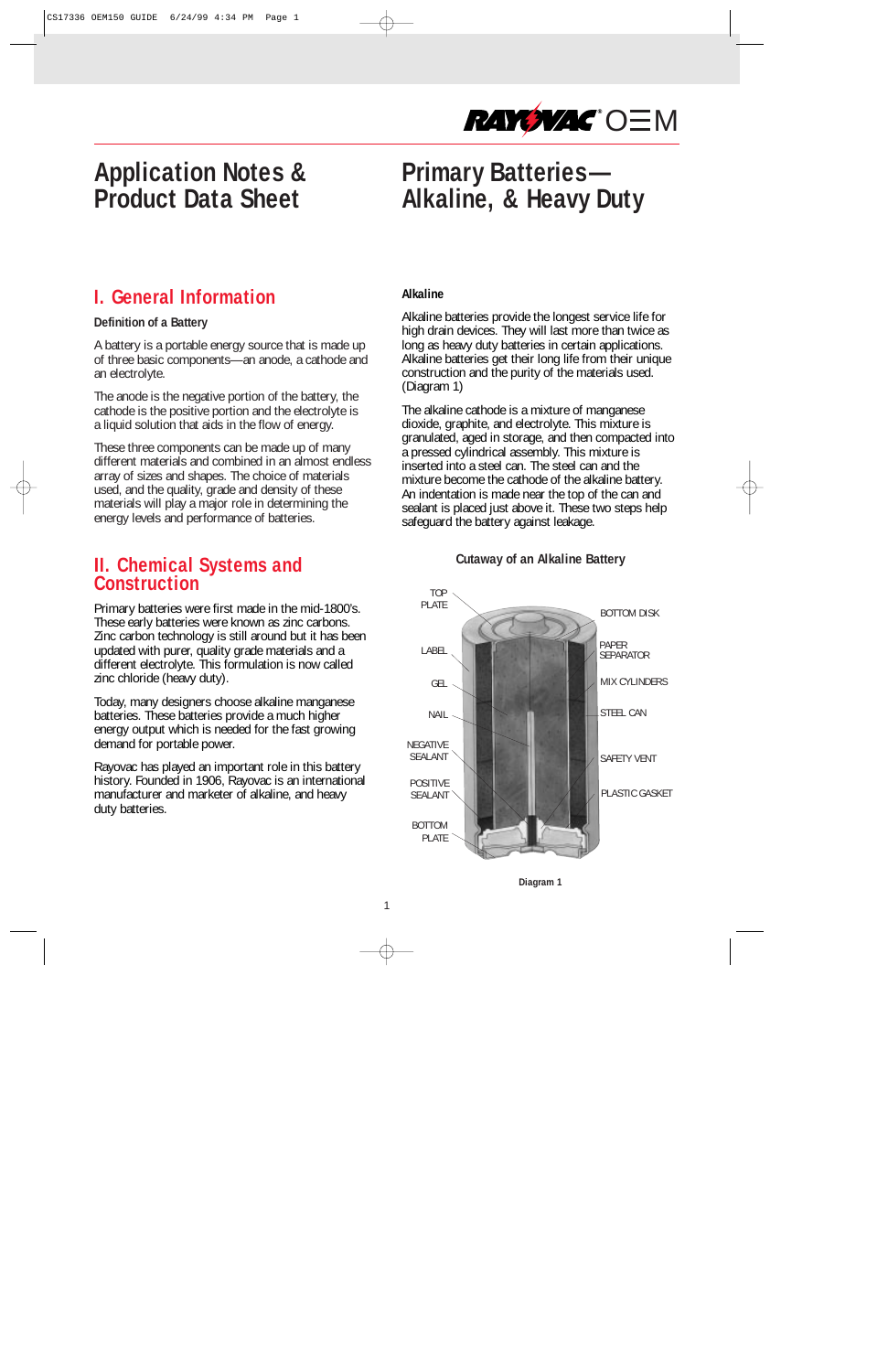

# **Application Notes & Product Data Sheet**

# **Primary Batteries— Alkaline, & Heavy Duty**

# **I. General Information**

#### **Definition of a Battery**

A battery is a portable energy source that is made up of three basic components—an anode, a cathode and an electrolyte.

The anode is the negative portion of the battery, the cathode is the positive portion and the electrolyte is a liquid solution that aids in the flow of energy.

These three components can be made up of many different materials and combined in an almost endless array of sizes and shapes. The choice of materials used, and the quality, grade and density of these materials will play a major role in determining the energy levels and performance of batteries.

## **II. Chemical Systems and Construction**

Primary batteries were first made in the mid-1800's. These early batteries were known as zinc carbons. Zinc carbon technology is still around but it has been updated with purer, quality grade materials and a different electrolyte. This formulation is now called zinc chloride (heavy duty).

Today, many designers choose alkaline manganese batteries. These batteries provide a much higher energy output which is needed for the fast growing demand for portable power.

Rayovac has played an important role in this battery history. Founded in 1906, Rayovac is an international manufacturer and marketer of alkaline, and heavy duty batteries.

#### **Alkaline**

Alkaline batteries provide the longest service life for high drain devices. They will last more than twice as long as heavy duty batteries in certain applications. Alkaline batteries get their long life from their unique construction and the purity of the materials used. (Diagram 1)

The alkaline cathode is a mixture of manganese dioxide, graphite, and electrolyte. This mixture is granulated, aged in storage, and then compacted into a pressed cylindrical assembly. This mixture is inserted into a steel can. The steel can and the mixture become the cathode of the alkaline battery. An indentation is made near the top of the can and sealant is placed just above it. These two steps help safeguard the battery against leakage.

#### **Cutaway of an Alkaline Battery**



**Diagram 1**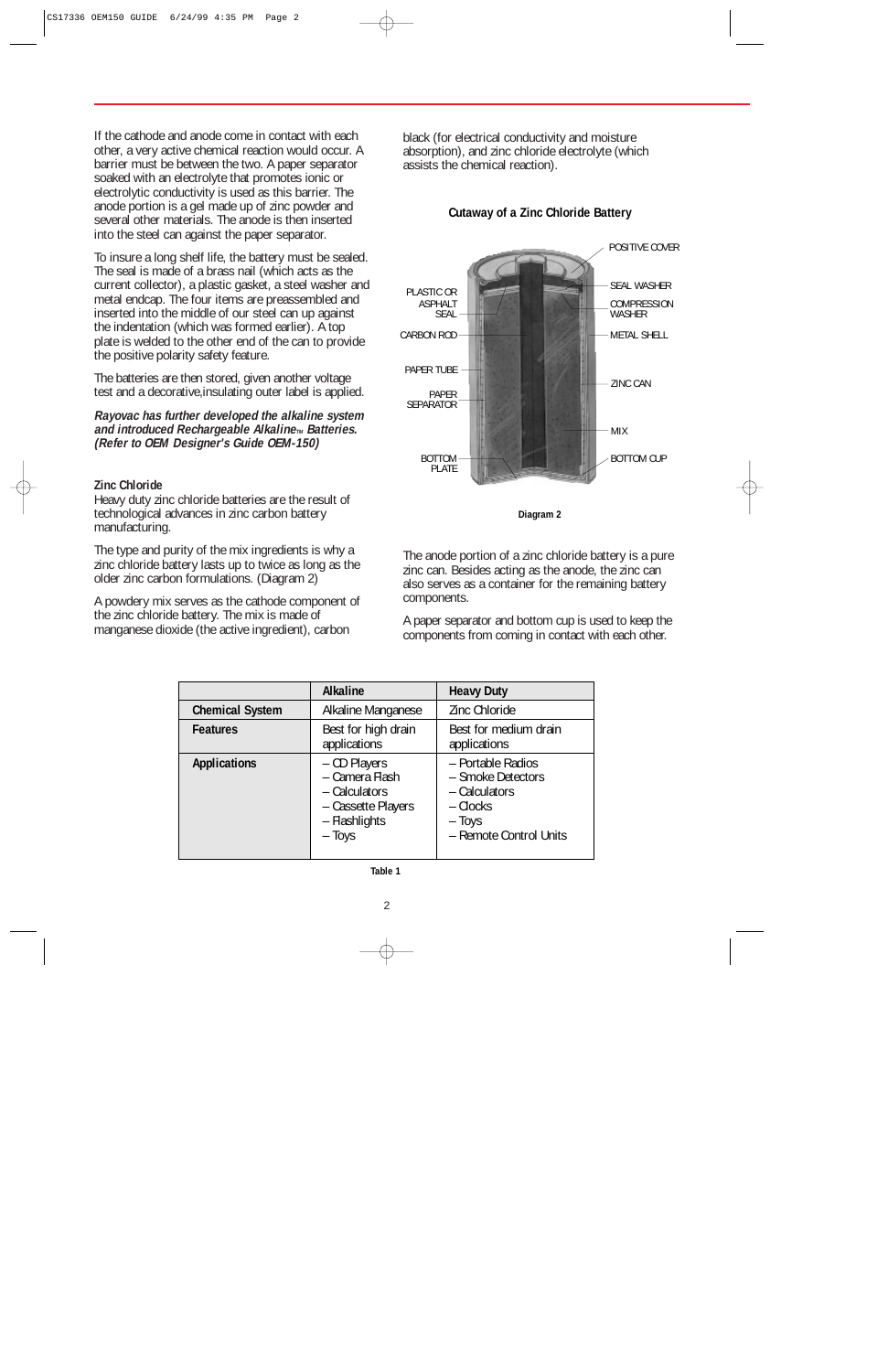If the cathode and anode come in contact with each other, a very active chemical reaction would occur. A barrier must be between the two. A paper separator soaked with an electrolyte that promotes ionic or electrolytic conductivity is used as this barrier. The anode portion is a gel made up of zinc powder and several other materials. The anode is then inserted into the steel can against the paper separator.

To insure a long shelf life, the battery must be sealed. The seal is made of a brass nail (which acts as the current collector), a plastic gasket, a steel washer and metal endcap. The four items are preassembled and inserted into the middle of our steel can up against the indentation (which was formed earlier). A top plate is welded to the other end of the can to provide the positive polarity safety feature.

The batteries are then stored, given another voltage test and a decorative,insulating outer label is applied.

**Rayovac has further developed the alkaline system and introduced Rechargeable Alkaline**<sub>M</sub> Batteries. **(Refer to OEM Designer's Guide OEM-150)**

#### **Zinc Chloride**

Heavy duty zinc chloride batteries are the result of technological advances in zinc carbon battery manufacturing.

The type and purity of the mix ingredients is why a zinc chloride battery lasts up to twice as long as the older zinc carbon formulations. (Diagram 2)

A powdery mix serves as the cathode component of the zinc chloride battery. The mix is made of manganese dioxide (the active ingredient), carbon

black (for electrical conductivity and moisture absorption), and zinc chloride electrolyte (which assists the chemical reaction).



#### **Cutaway of a Zinc Chloride Battery**

**Diagram 2**

The anode portion of a zinc chloride battery is a pure zinc can. Besides acting as the anode, the zinc can also serves as a container for the remaining battery components.

A paper separator and bottom cup is used to keep the components from coming in contact with each other.

|                        | <b>Alkaline</b>                                                                                  | <b>Heavy Duty</b>                                                                                         |
|------------------------|--------------------------------------------------------------------------------------------------|-----------------------------------------------------------------------------------------------------------|
| <b>Chemical System</b> | Alkaline Manganese                                                                               | Zinc Chloride                                                                                             |
| <b>Features</b>        | Best for high drain<br>applications                                                              | Best for medium drain<br>applications                                                                     |
| <b>Applications</b>    | - CD Players<br>- Camera Flash<br>- Calculators<br>- Cassette Players<br>- Flashlights<br>- Toys | - Portable Radios<br>- Smoke Detectors<br>- Calculators<br>$-$ Clocks<br>- Toys<br>- Remote Control Units |

#### **Table 1**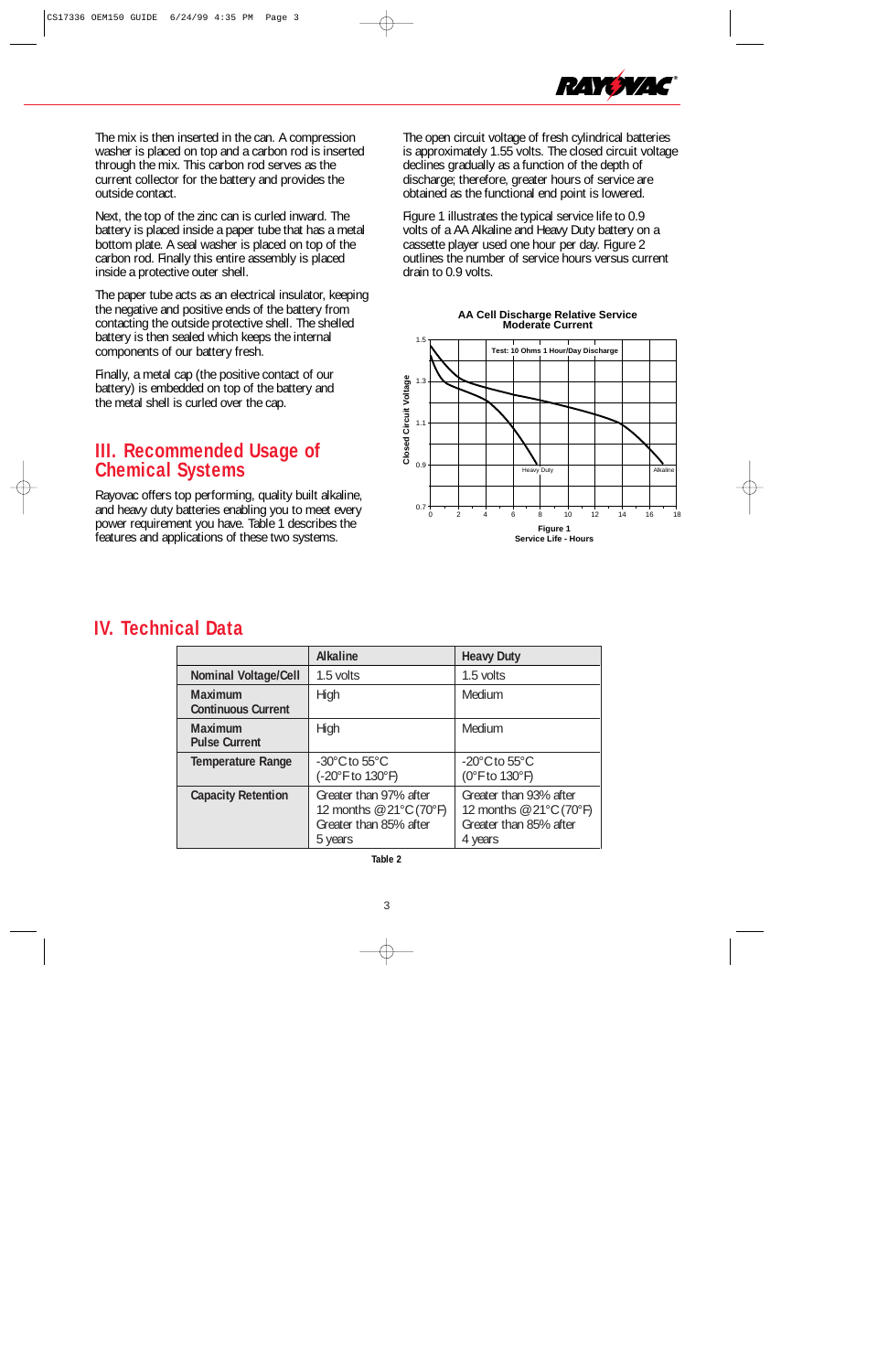

The mix is then inserted in the can. A compression washer is placed on top and a carbon rod is inserted through the mix. This carbon rod serves as the current collector for the battery and provides the outside contact.

Next, the top of the zinc can is curled inward. The battery is placed inside a paper tube that has a metal bottom plate. A seal washer is placed on top of the carbon rod. Finally this entire assembly is placed inside a protective outer shell.

The paper tube acts as an electrical insulator, keeping the negative and positive ends of the battery from contacting the outside protective shell. The shelled battery is then sealed which keeps the internal components of our battery fresh.

Finally, a metal cap (the positive contact of our battery) is embedded on top of the battery and the metal shell is curled over the cap.

## **III. Recommended Usage of Chemical Systems**

Rayovac offers top performing, quality built alkaline, and heavy duty batteries enabling you to meet every power requirement you have. Table 1 describes the features and applications of these two systems.

The open circuit voltage of fresh cylindrical batteries is approximately 1.55 volts. The closed circuit voltage declines gradually as a function of the depth of discharge; therefore, greater hours of service are obtained as the functional end point is lowered.

Figure 1 illustrates the typical service life to 0.9 volts of a AA Alkaline and Heavy Duty battery on a cassette player used one hour per day. Figure 2 outlines the number of service hours versus current drain to 0.9 volts.





## **IV. Technical Data**

|                                             | <b>Alkaline</b>                                                                                        | <b>Heavy Duty</b>                                                                      |
|---------------------------------------------|--------------------------------------------------------------------------------------------------------|----------------------------------------------------------------------------------------|
| <b>Nominal Voltage/Cell</b>                 | 1.5 volts                                                                                              | 1.5 volts                                                                              |
| <b>Maximum</b><br><b>Continuous Current</b> | <b>High</b>                                                                                            | Medium                                                                                 |
| Maximum<br><b>Pulse Current</b>             | <b>High</b>                                                                                            | Medium                                                                                 |
| <b>Temperature Range</b>                    | $-30^{\circ}$ C to 55 $^{\circ}$ C<br>(-20°F to 130°F)                                                 | $-20^{\circ}$ C to 55 $^{\circ}$ C<br>(0°F to 130°F)                                   |
| <b>Capacity Retention</b>                   | Greater than 97% after<br>12 months $\textcircled{e}$ 21°C (70°F)<br>Greater than 85% after<br>5 years | Greater than 93% after<br>12 months @ 21°C (70°F)<br>Greater than 85% after<br>4 years |

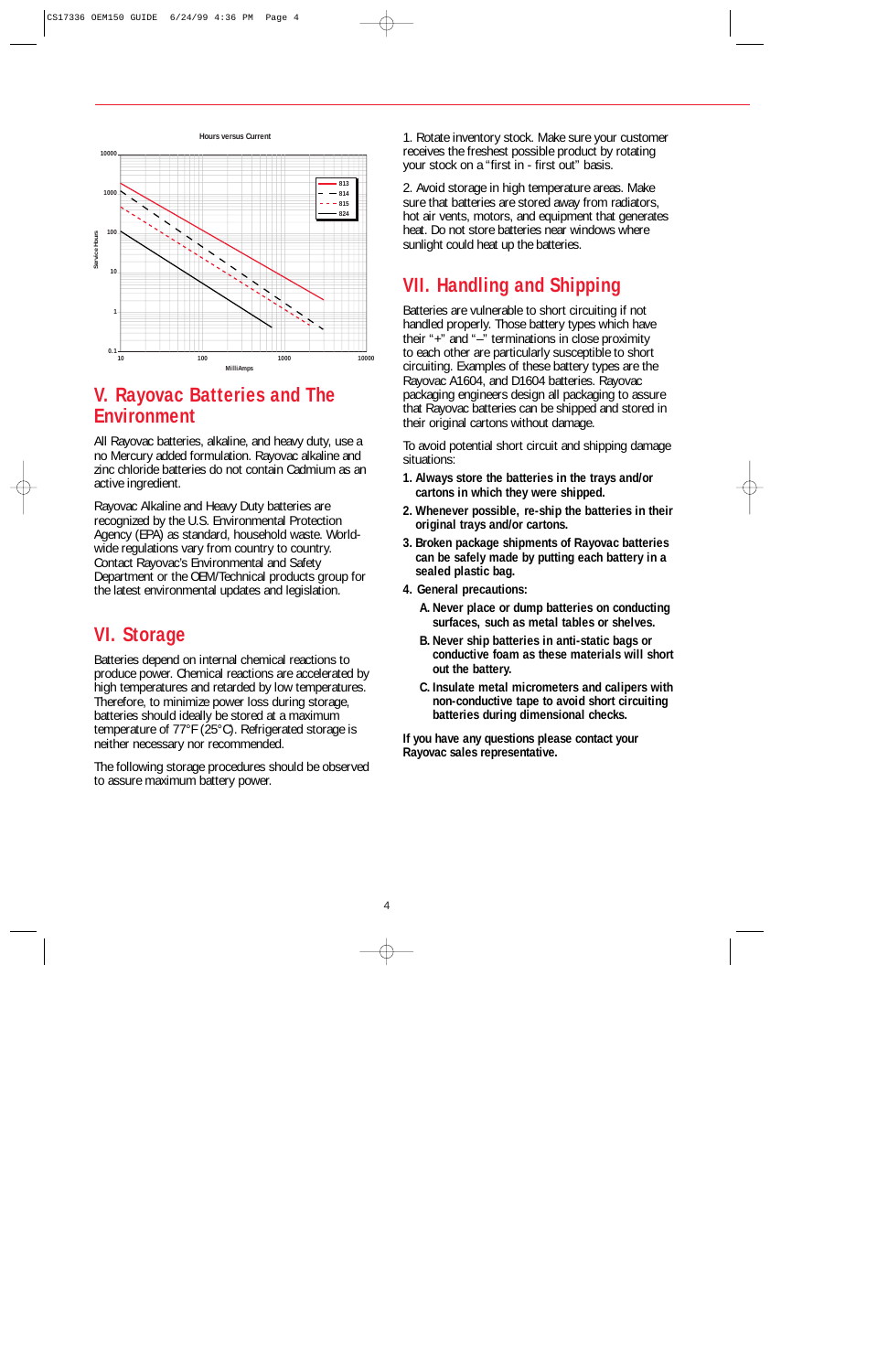

## **V. Rayovac Batteries and The Environment**

All Rayovac batteries, alkaline, and heavy duty, use a no Mercury added formulation. Rayovac alkaline and zinc chloride batteries do not contain Cadmium as an active ingredient.

Rayovac Alkaline and Heavy Duty batteries are recognized by the U.S. Environmental Protection Agency (EPA) as standard, household waste. Worldwide regulations vary from country to country. Contact Rayovac's Environmental and Safety Department or the OEM/Technical products group for the latest environmental updates and legislation.

# **VI. Storage**

Batteries depend on internal chemical reactions to produce power. Chemical reactions are accelerated by high temperatures and retarded by low temperatures. Therefore, to minimize power loss during storage, batteries should ideally be stored at a maximum temperature of 77°F (25°C). Refrigerated storage is neither necessary nor recommended.

The following storage procedures should be observed to assure maximum battery power.

1. Rotate inventory stock. Make sure your customer receives the freshest possible product by rotating your stock on a "first in - first out" basis.

2. Avoid storage in high temperature areas. Make sure that batteries are stored away from radiators, hot air vents, motors, and equipment that generates heat. Do not store batteries near windows where sunlight could heat up the batteries.

# **VII. Handling and Shipping**

Batteries are vulnerable to short circuiting if not handled properly. Those battery types which have their "+" and "–" terminations in close proximity to each other are particularly susceptible to short circuiting. Examples of these battery types are the Rayovac A1604, and D1604 batteries. Rayovac packaging engineers design all packaging to assure that Rayovac batteries can be shipped and stored in their original cartons without damage.

To avoid potential short circuit and shipping damage situations:

- **1. Always store the batteries in the trays and/or cartons in which they were shipped.**
- **2. Whenever possible, re-ship the batteries in their original trays and/or cartons.**
- **3. Broken package shipments of Rayovac batteries can be safely made by putting each battery in a sealed plastic bag.**
- **4. General precautions:**
	- **A.Never place or dump batteries on conducting surfaces, such as metal tables or shelves.**
	- **B.Never ship batteries in anti-static bags or conductive foam as these materials will short out the battery.**
	- **C.Insulate metal micrometers and calipers with non-conductive tape to avoid short circuiting batteries during dimensional checks.**

**If you have any questions please contact your Rayovac sales representative.**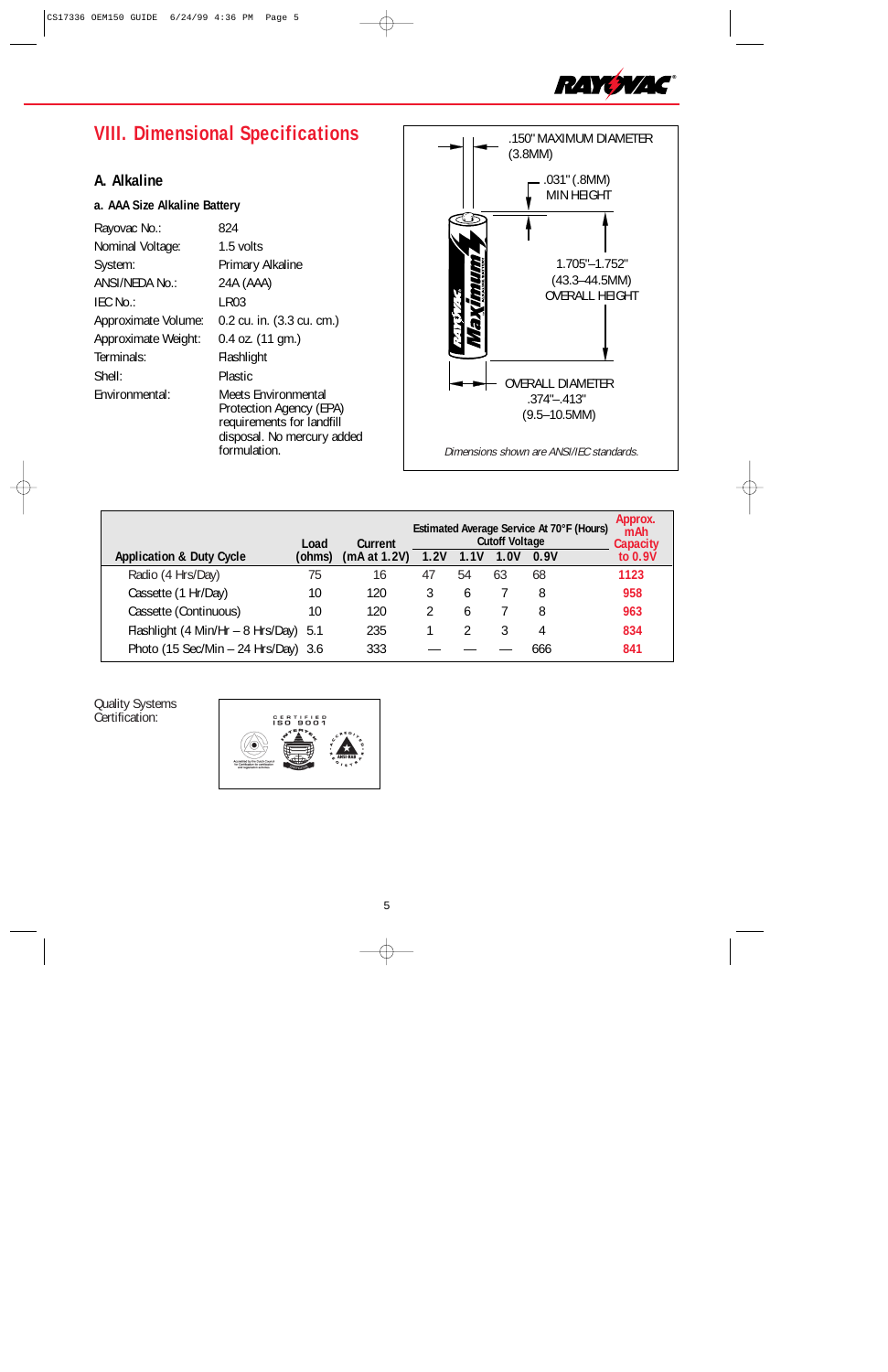

# **VIII. Dimensional Specifications**

## **A. Alkaline**

### **a. AAA Size Alkaline Battery**

| Rayovac No.:        | 824                                                                                                                       |
|---------------------|---------------------------------------------------------------------------------------------------------------------------|
| Nominal Voltage:    | 1.5 volts                                                                                                                 |
| System:             | Primary Alkaline                                                                                                          |
| ANSI/NEDA No.:      | 24A (AAA)                                                                                                                 |
| IEC No.:            | LR03                                                                                                                      |
| Approximate Volume: | 0.2 cu. in. (3.3 cu. cm.)                                                                                                 |
| Approximate Weight: | $0.4$ oz. $(11$ gm.)                                                                                                      |
| Terminals:          | Flashlight                                                                                                                |
| Shell:              | Plastic                                                                                                                   |
| Environmental:      | Meets Environmental<br>Protection Agency (EPA)<br>requirements for landfill<br>disposal. No mercury added<br>formulation. |



|                                       | Load   | Current      |      |               | <b>Cutoff Voltage</b> | Estimated Average Service At 70°F (Hours) | Approx.<br>mAh<br><b>Capacity</b> |
|---------------------------------------|--------|--------------|------|---------------|-----------------------|-------------------------------------------|-----------------------------------|
| <b>Application &amp; Duty Cycle</b>   | (ohms) | (mA at 1.2V) | 1.2V | 1.1V          | 1.0V                  | 0.9V                                      | to $0.9V$                         |
| Radio (4 Hrs/Day)                     | 75     | 16           | 47   | 54            | 63                    | 68                                        | 1123                              |
| Cassette (1 Hr/Day)                   | 10     | 120          |      | $\mathfrak b$ |                       | 8                                         | 958                               |
| Cassette (Continuous)                 | 10     | 120          |      | 6             |                       | 8                                         | 963                               |
| Flashlight (4 Min/Hr - 8 Hrs/Day) 5.1 |        | 235          |      |               |                       | 4                                         | 834                               |
| Photo (15 Sec/Min - 24 Hrs/Day) 3.6   |        | 333          |      |               |                       | 666                                       | 841                               |

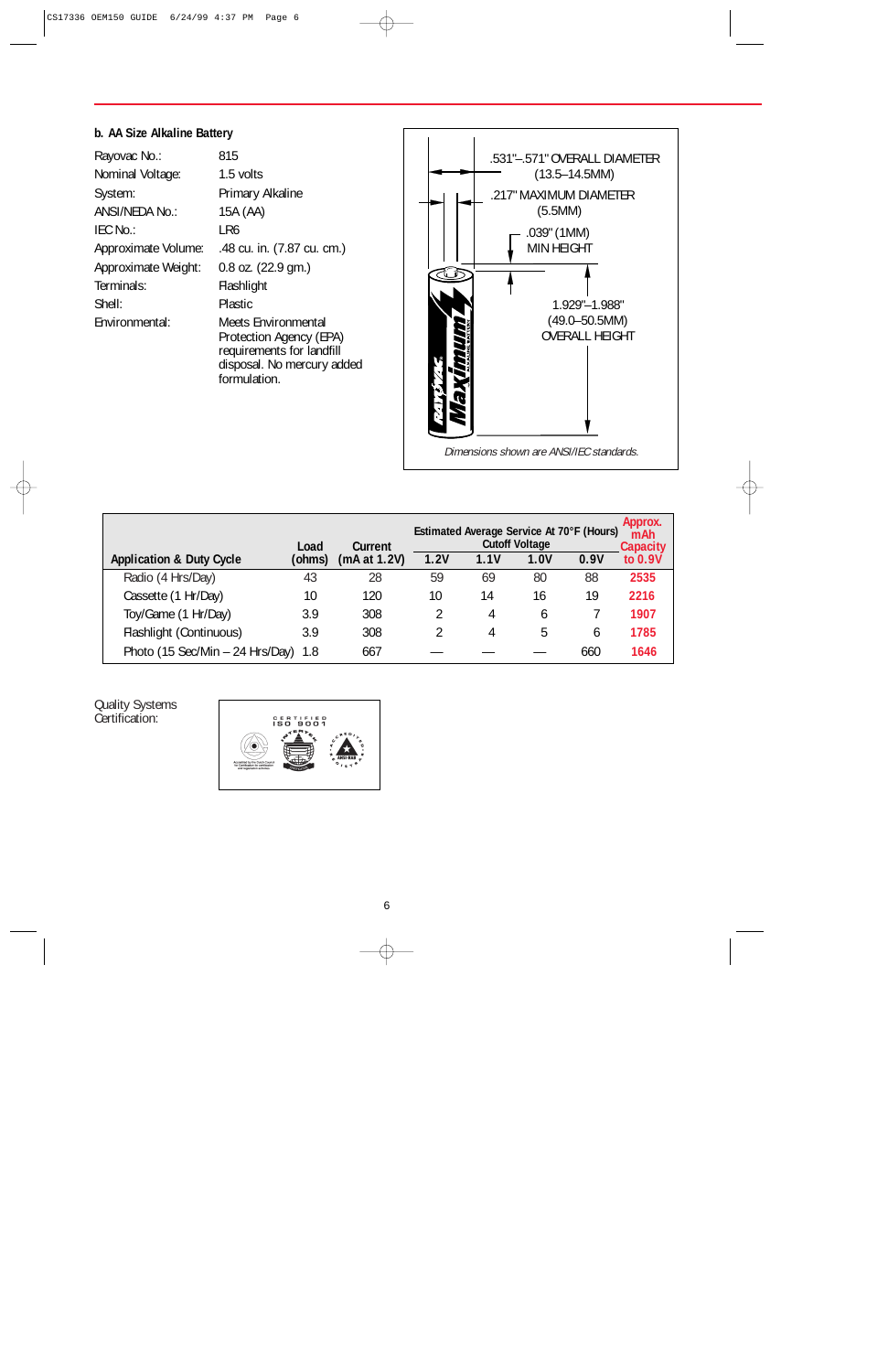### **b. AA Size Alkaline Battery**

| Rayovac No.:        | 815                                                                                                              |
|---------------------|------------------------------------------------------------------------------------------------------------------|
| Nominal Voltage:    | 1.5 volts                                                                                                        |
| System:             | Primary Alkaline                                                                                                 |
| ANSI/NEDA No.:      | 15A (AA)                                                                                                         |
| IEC No.:            | LR6                                                                                                              |
| Approximate Volume: | .48 cu. in. (7.87 cu. cm.)                                                                                       |
| Approximate Weight: | 0.8 oz. (22.9 gm.)                                                                                               |
| Terminals:          | Flashlight                                                                                                       |
| Shell:              | Plastic                                                                                                          |
| Environmental:      | <b>Meets Environmental</b><br>Protection Agency (EPA)<br>requirements for landfill<br>disposal. No mercury added |

formulation.



|                                       |                |                         |      | Estimated Average Service At 70°F (Hours) |                               |      | Approx.<br>mAh               |
|---------------------------------------|----------------|-------------------------|------|-------------------------------------------|-------------------------------|------|------------------------------|
| <b>Application &amp; Duty Cycle</b>   | Load<br>(ohms) | Current<br>(mA at 1.2V) | 1.2V | l.1V                                      | <b>Cutoff Voltage</b><br>1.0V | 0.9V | Capacity<br>$10^{\circ}0.9V$ |
| Radio (4 Hrs/Day)                     | 43             | 28                      | 59   | 69                                        | 80                            | 88   | 2535                         |
| Cassette (1 Hr/Day)                   | 10             | 120                     | 10   | 14                                        | 16                            | 19   | 2216                         |
| Toy/Game (1 Hr/Day)                   | 3.9            | 308                     | 2    | 4                                         | 6                             |      | 1907                         |
| Flashlight (Continuous)               | 3.9            | 308                     | 2    | 4                                         | 5                             | h    | 1785                         |
| Photo (15 Sec/Min $-$ 24 Hrs/Day) 1.8 |                | 667                     |      |                                           |                               | 660  | 1646                         |

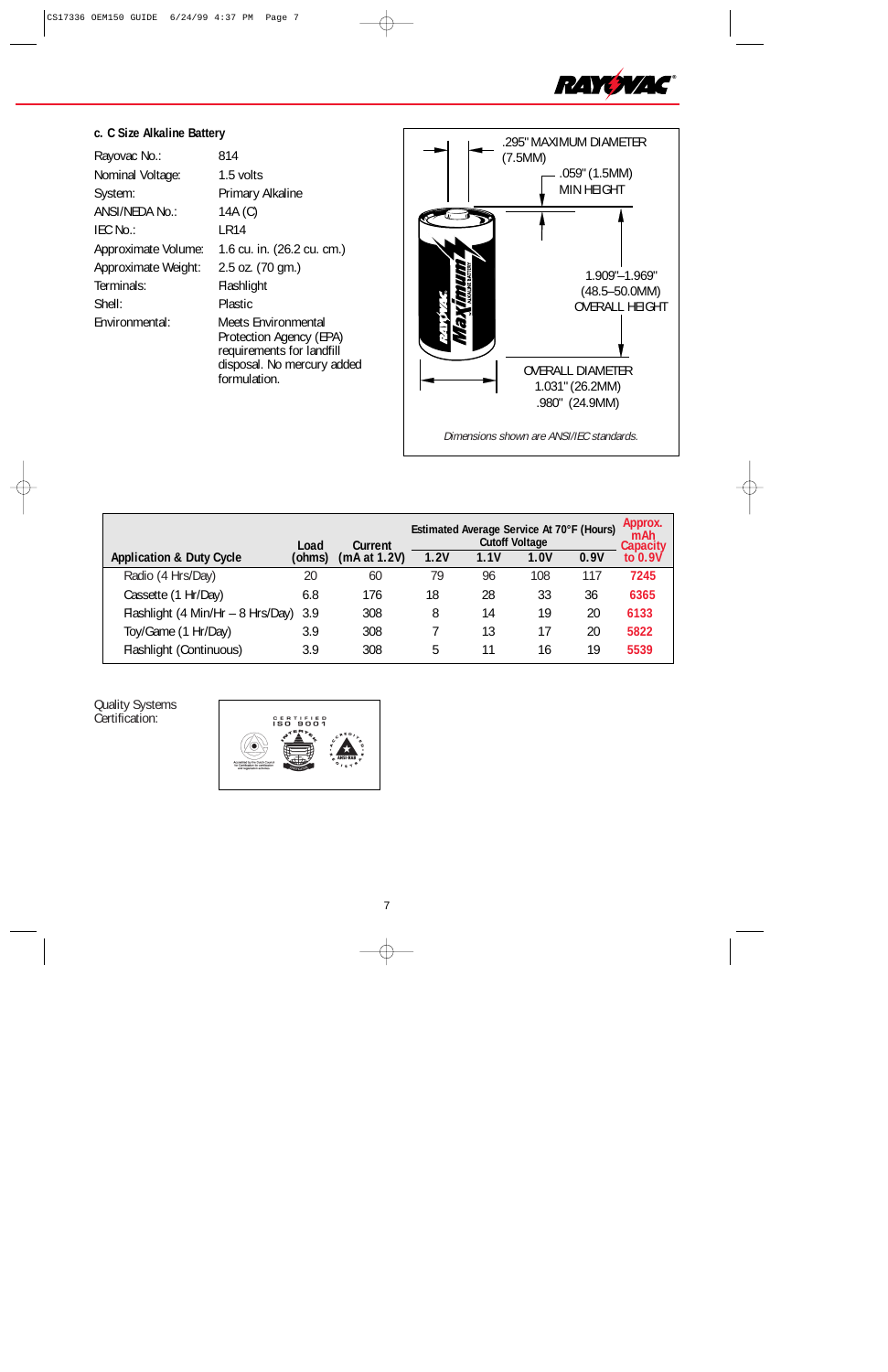

## **c. C Size Alkaline Battery**

| Rayovac No.:        | 814                                                                                                                              |
|---------------------|----------------------------------------------------------------------------------------------------------------------------------|
| Nominal Voltage:    | 1.5 volts                                                                                                                        |
| System:             | Primary Alkaline                                                                                                                 |
| ANSI/NEDA No.:      | 14A (C)                                                                                                                          |
| IEC No.:            | LR14                                                                                                                             |
| Approximate Volume: | 1.6 cu. in. (26.2 cu. cm.)                                                                                                       |
| Approximate Weight: | 2.5 oz. (70 gm.)                                                                                                                 |
| Terminals:          | Flashlight                                                                                                                       |
| Shell:              | <b>Plastic</b>                                                                                                                   |
| Environmental:      | <b>Meets Environmental</b><br>Protection Agency (EPA)<br>requirements for landfill<br>disposal. No mercury added<br>formulation. |



|                                       | Load   | Current      |      | Estimated Average Service At 70°F (Hours) | <b>Cutoff Voltage</b> |      | Approx.<br>mAh<br>Capacity |
|---------------------------------------|--------|--------------|------|-------------------------------------------|-----------------------|------|----------------------------|
| <b>Application &amp; Duty Cycle</b>   | (ohms) | (mA at 1.2V) | 1.2V | 1.1V                                      | 1.0V                  | 0.9V | to 0.9V                    |
| Radio (4 Hrs/Day)                     | 20     | 60           | 79   | 96                                        | 108                   | 117  | 7245                       |
| Cassette (1 Hr/Day)                   | 6.8    | 176          | 18   | 28                                        | 33                    | 36   | 6365                       |
| Flashlight (4 Min/Hr - 8 Hrs/Day) 3.9 |        | 308          | 8    | 14                                        | 19                    | 20   | 6133                       |
| Toy/Game (1 Hr/Day)                   | 3.9    | 308          |      | 13                                        | 17                    | 20   | 5822                       |
| Flashlight (Continuous)               | 3.9    | 308          | 5    |                                           | 16                    | 19   | 5539                       |

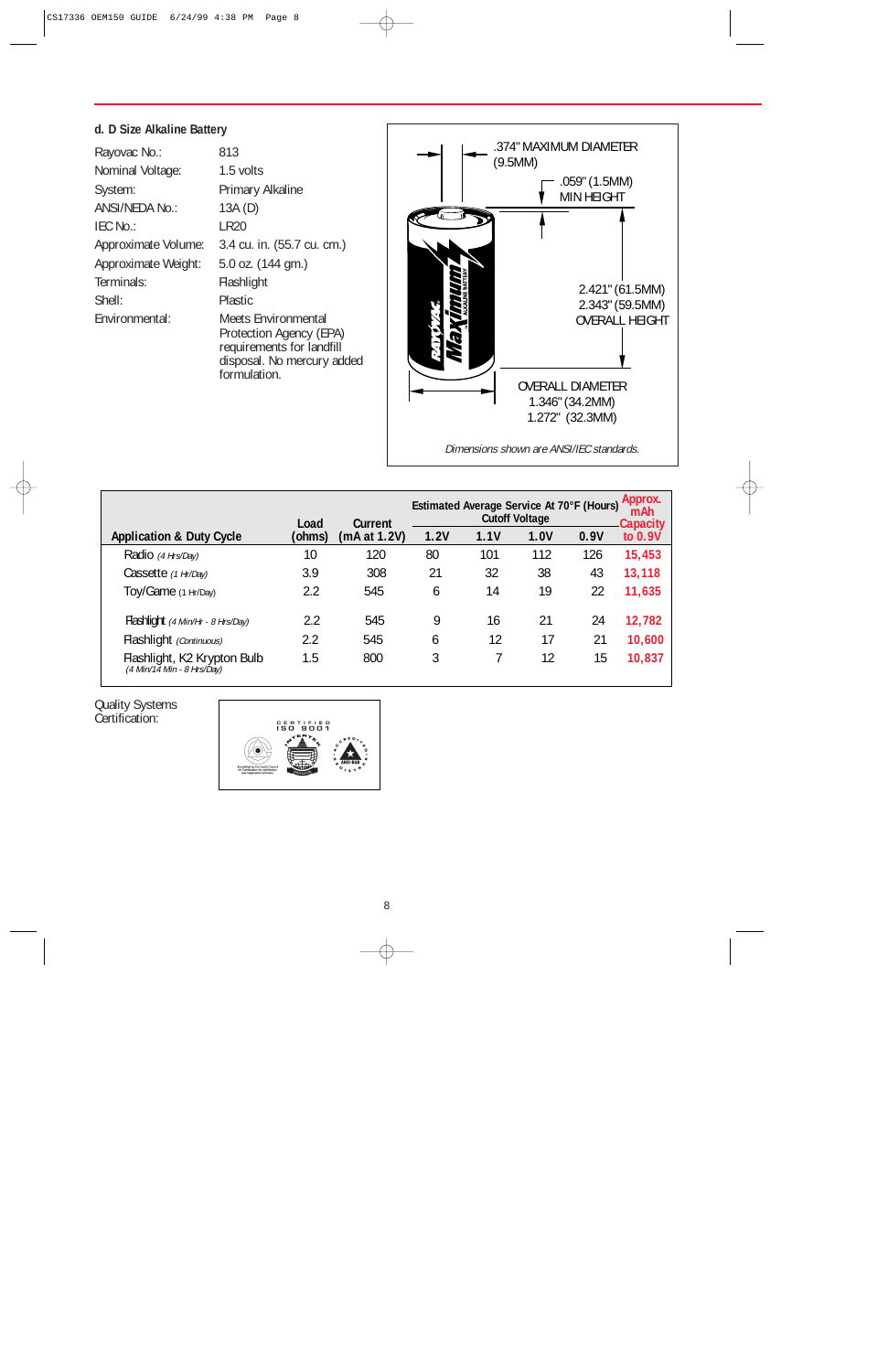### **d. D Size Alkaline Battery**

| Rayovac No.:        | 813                                                                                                                       |
|---------------------|---------------------------------------------------------------------------------------------------------------------------|
| Nominal Voltage:    | 1.5 volts                                                                                                                 |
| System:             | Primary Alkaline                                                                                                          |
| ANSI/NEDA No.:      | 13A(D)                                                                                                                    |
| IEC No.:            | <b>LR20</b>                                                                                                               |
| Approximate Volume: | 3.4 cu. in. (55.7 cu. cm.)                                                                                                |
| Approximate Weight: | 5.0 oz. (144 gm.)                                                                                                         |
| Terminals:          | Flashlight                                                                                                                |
| Shell:              | <b>Plastic</b>                                                                                                            |
| Environmental:      | Meets Environmental<br>Protection Agency (EPA)<br>requirements for landfill<br>disposal. No mercury added<br>formulation. |



|                                                             | Load   | Current      |      | Estimated Average Service At 70°F (Hours) | <b>Cutoff Voltage</b> |      | Approx.<br>mAh<br><b>Capacity</b> |  |
|-------------------------------------------------------------|--------|--------------|------|-------------------------------------------|-----------------------|------|-----------------------------------|--|
| <b>Application &amp; Duty Cycle</b>                         | (ohms) | (mA at 1.2V) | 1.2V | 1.1V                                      | 1.0V                  | 0.9V | to 0.9V                           |  |
| Radio (4 Hrs/Day)                                           | 10     | 120          | 80   | 101                                       | 112                   | 126  | 15,453                            |  |
| Cassette (1 Hr/Day)                                         | 3.9    | 308          | 21   | 32                                        | 38                    | 43   | 13,118                            |  |
| Toy/Game (1 Hr/Day)                                         | 2.2    | 545          | 6    | 14                                        | 19                    | 22   | 11,635                            |  |
| Flashlight (4 Min/Hr - 8 Hrs/Day)                           | 2.2    | 545          | 9    | 16                                        | 21                    | 24   | 12,782                            |  |
| Flashlight (Continuous)                                     | 2.2    | 545          | 6    | 12                                        | 17                    | 21   | 10,600                            |  |
| Flashlight, K2 Krypton Bulb<br>$(4$ Min/14 Min - 8 Hrs/Day) | 1.5    | 800          | 3    |                                           | 12                    | 15   | 10,837                            |  |

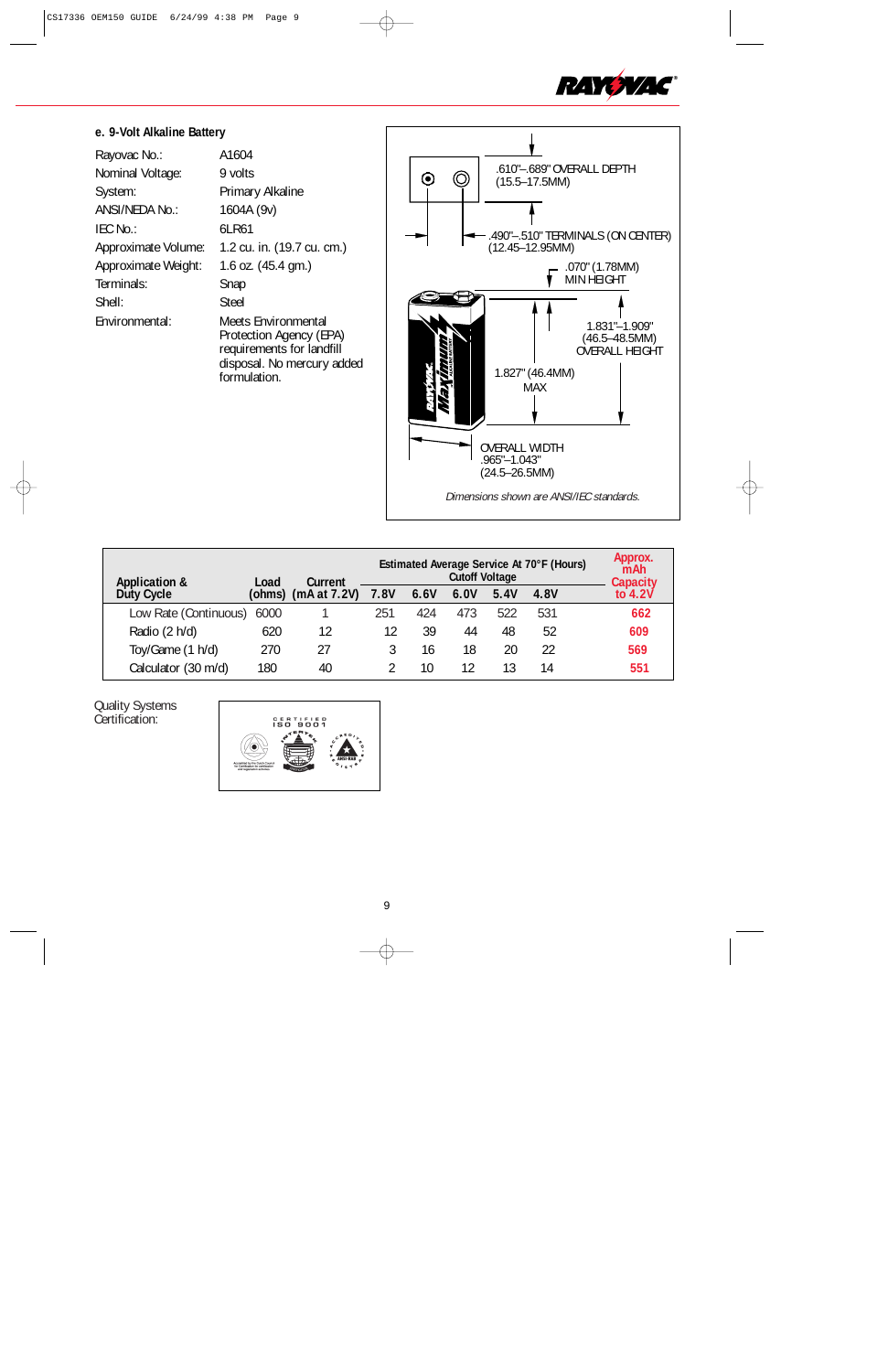

## **e. 9-Volt Alkaline Battery**

| Rayovac No.:        | A1604                                                                                                                     |
|---------------------|---------------------------------------------------------------------------------------------------------------------------|
| Nominal Voltage:    | 9 volts                                                                                                                   |
| System:             | Primary Alkaline                                                                                                          |
| ANSI/NEDA No.:      | 1604A (9v)                                                                                                                |
| IEC No.:            | 6LR61                                                                                                                     |
| Approximate Volume: | 1.2 cu. in. (19.7 cu. cm.)                                                                                                |
| Approximate Weight: | 1.6 oz. (45.4 gm.)                                                                                                        |
| Terminals:          | Snap                                                                                                                      |
| Shell:              | Steel                                                                                                                     |
| Environmental:      | Meets Environmental<br>Protection Agency (EPA)<br>requirements for landfill<br>disposal. No mercury added<br>formulation. |



| <b>Application &amp;</b>   | Load | Estimated Average Service At 70°F (Hours)<br><b>Cutoff Voltage</b><br>Current |             |      |      |      |      | Approx.<br>mAh<br><b>Capacity</b> |
|----------------------------|------|-------------------------------------------------------------------------------|-------------|------|------|------|------|-----------------------------------|
| Duty Cycle                 |      | (ohms) (mA at $7.2V$ )                                                        | <b>7.8V</b> | 6.6V | 6.0V | 5.4V | 4.8V | to $4.2V$                         |
| Low Rate (Continuous) 6000 |      |                                                                               | 251         | 424  | 473  | 522  | 531  | 662                               |
| Radio (2 h/d)              | 620  | 12                                                                            | 12          | 39   | 44   | 48   | 52   | 609                               |
| Toy/Game (1 h/d)           | 270  | 27                                                                            |             | 16   | 18   | 20   | 22   | 569                               |
| Calculator (30 m/d)        | 180  | 40                                                                            |             | 10   | 12   |      | 14   | 551                               |

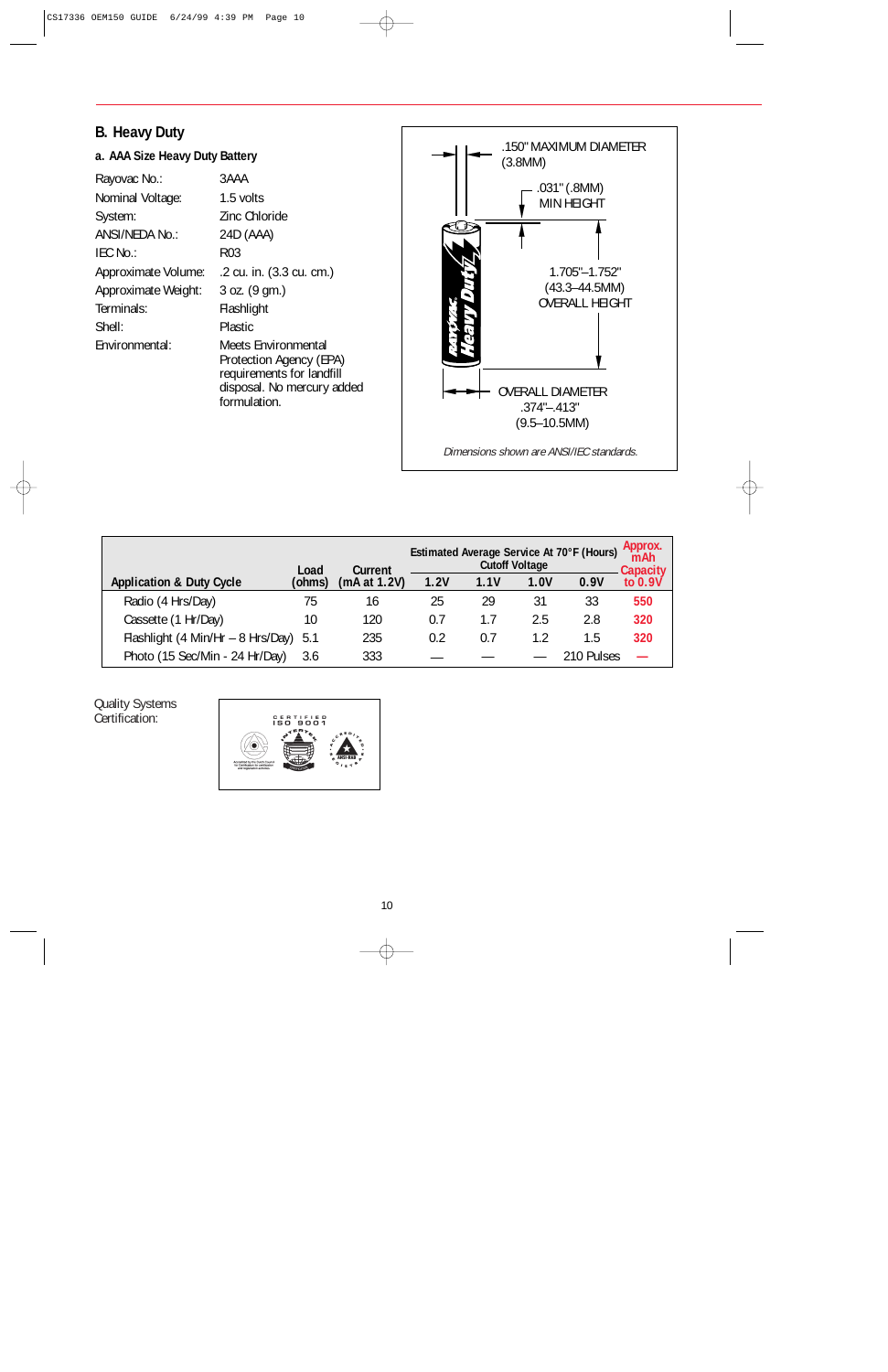## **B. Heavy Duty**

## **a. AAA Size Heavy Duty Battery**

| Rayovac No.:        | 3AAA                                                                                                                      |
|---------------------|---------------------------------------------------------------------------------------------------------------------------|
| Nominal Voltage:    | 1.5 volts                                                                                                                 |
| System:             | Zinc Chloride                                                                                                             |
| ANSI/NEDA No.:      | 24D (AAA)                                                                                                                 |
| IEC No.:            | R <sub>0</sub> 3                                                                                                          |
| Approximate Volume: | .2 cu. in. (3.3 cu. cm.)                                                                                                  |
| Approximate Weight: | $3$ oz. $(9$ gm.)                                                                                                         |
| Terminals:          | Flashlight                                                                                                                |
| Shell:              | <b>Plastic</b>                                                                                                            |
| Environmental:      | Meets Environmental<br>Protection Agency (EPA)<br>requirements for landfill<br>disposal. No mercury added<br>formulation. |



|                                       | Load   | Current      | Estimated Average Service At 70°F (Hours)<br><b>Cutoff Voltage</b> |      |      |            | Approx.<br>mAh<br>Capacity |
|---------------------------------------|--------|--------------|--------------------------------------------------------------------|------|------|------------|----------------------------|
| <b>Application &amp; Duty Cycle</b>   | (ohms) | (mA at 1.2V) | 1.2V                                                               | 1.1V | 1.0V | 0.9V       | to 0.9V                    |
| Radio (4 Hrs/Day)                     | 75     | 16           | 25                                                                 | 29   | 31   | 33         | 550                        |
| Cassette (1 Hr/Day)                   | 10     | 120          | 0.7                                                                | 1.7  | 2.5  | 2.8        | 320                        |
| Flashlight (4 Min/Hr - 8 Hrs/Day) 5.1 |        | 235          | 0.2                                                                | 0.7  | 1.2  | 1.5        | 320                        |
| Photo (15 Sec/Min - 24 Hr/Day)        | 3.6    | 333          |                                                                    |      |      | 210 Pulses |                            |

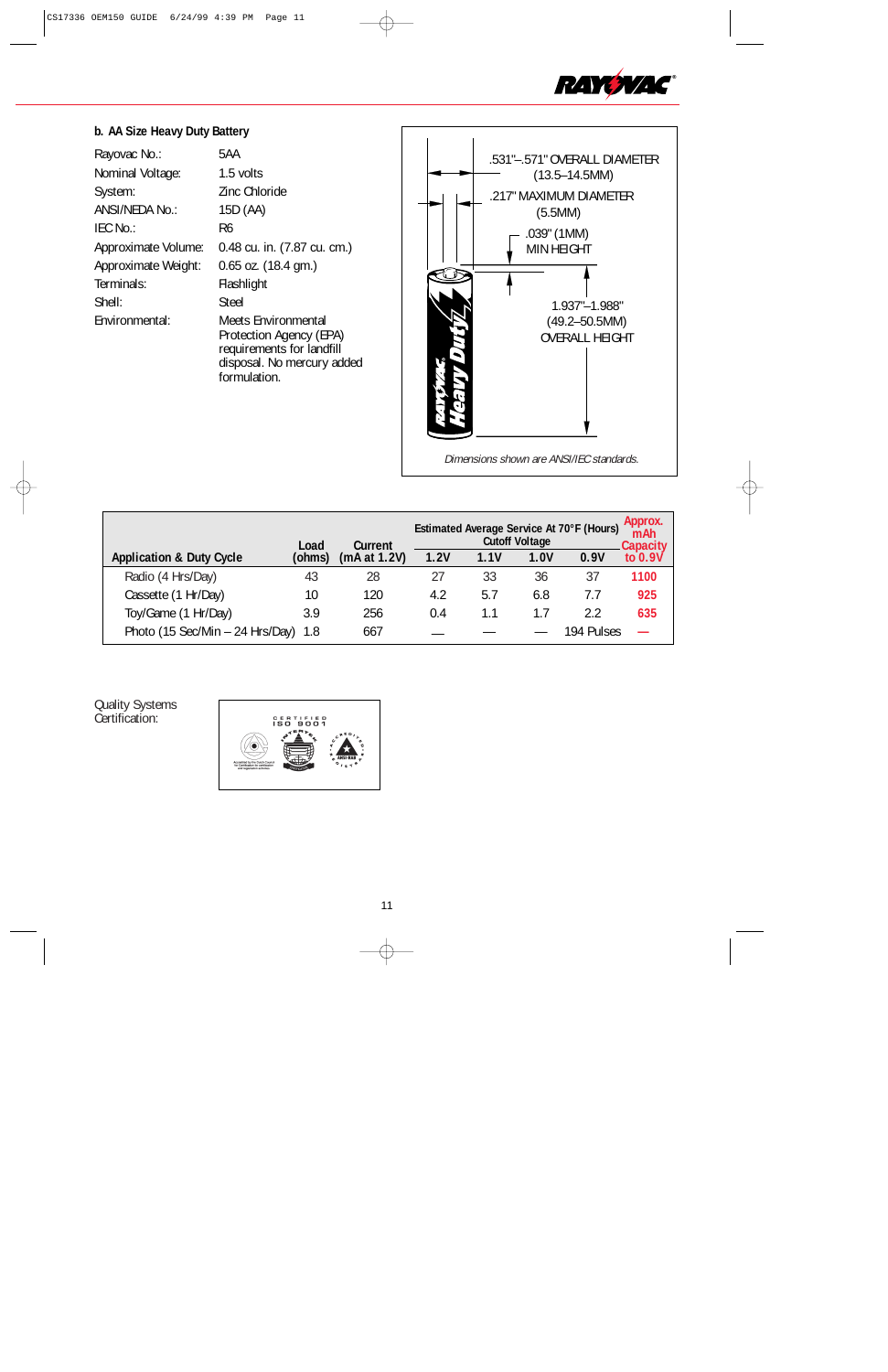

## **b. AA Size Heavy Duty Battery**

| Rayovac No.:        | 5AA                                                                                                                       |
|---------------------|---------------------------------------------------------------------------------------------------------------------------|
| Nominal Voltage:    | 1.5 volts                                                                                                                 |
| System:             | Zinc Chloride                                                                                                             |
| ANSI/NEDA No.:      | 15D (AA)                                                                                                                  |
| IEC No.:            | R6                                                                                                                        |
| Approximate Volume: | 0.48 cu. in. (7.87 cu. cm.)                                                                                               |
| Approximate Weight: | $0.65$ oz. $(18.4$ gm.)                                                                                                   |
| Terminals:          | Flashlight                                                                                                                |
| Shell:              | Steel                                                                                                                     |
| Fnvironmental:      | Meets Environmental<br>Protection Agency (EPA)<br>requirements for landfill<br>disposal. No mercury added<br>formulation. |



|                                       | Load   | Current      | Estimated Average Service At 70°F (Hours)<br><b>Cutoff Voltage</b> |      |      |            | Approx.<br>mAh<br>Capacity |
|---------------------------------------|--------|--------------|--------------------------------------------------------------------|------|------|------------|----------------------------|
| <b>Application &amp; Duty Cycle</b>   | (ohms) | (mA at 1.2V) | 1.2V                                                               | 1.1V | 1.0V | 0.9V       | to $0.9V$                  |
| Radio (4 Hrs/Day)                     | 43     | 28           | 27                                                                 | 33   | 36   | 37         | 1100                       |
| Cassette (1 Hr/Day)                   | 10     | 120          | 4.2                                                                | 5.7  | 6.8  | 7.7        | 925                        |
| Toy/Game (1 Hr/Day)                   | 3.9    | 256          | 0.4                                                                | 1.1  | 1.7  | 22         | 635                        |
| Photo (15 Sec/Min $-$ 24 Hrs/Day) 1.8 |        | 667          |                                                                    |      |      | 194 Pulses |                            |

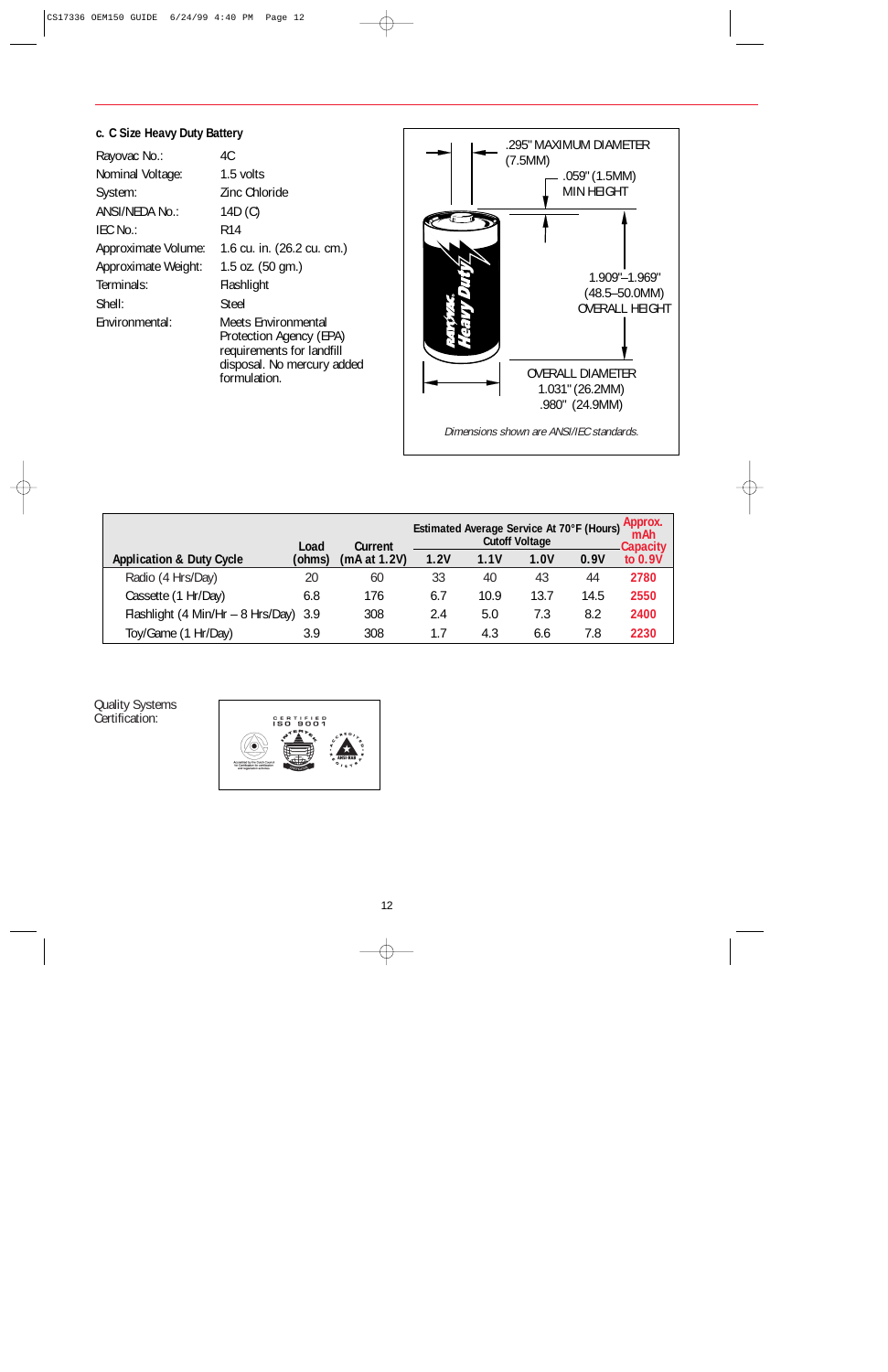## **c. C Size Heavy Duty Battery**

| Rayovac No.:        | 4C                                                                                                        |
|---------------------|-----------------------------------------------------------------------------------------------------------|
| Nominal Voltage:    | 1.5 volts                                                                                                 |
| System:             | Zinc Chloride                                                                                             |
| ANSI/NEDA No.:      | 14D (C)                                                                                                   |
| IEC No.:            | R <sub>14</sub>                                                                                           |
| Approximate Volume: | 1.6 cu. in. (26.2 cu. cm.)                                                                                |
| Approximate Weight: | 1.5 oz. $(50 \text{ gm.})$                                                                                |
| Terminals:          | Flashlight                                                                                                |
| Shell:              | Steel                                                                                                     |
| Environmental:      | Meets Environmental<br>Protection Agency (EPA)<br>requirements for landfill<br>disposal. No mercury added |

formulation.



|                                       | Load   | Current      | Estimated Average Service At 70°F (Hours)<br><b>Cutoff Voltage</b> |      |      |      | Approx.<br>mAh<br><b>Capacity</b> |
|---------------------------------------|--------|--------------|--------------------------------------------------------------------|------|------|------|-----------------------------------|
| <b>Application &amp; Duty Cycle</b>   | (ohms) | (mA at 1.2V) | 1.2V                                                               | 1.1V | 1.0V | 0.9V | to 0.9V                           |
| Radio (4 Hrs/Day)                     | 20     | 60           | 33                                                                 | 40   | 43   | 44   | 2780                              |
| Cassette (1 Hr/Day)                   | 6.8    | 176          | 6.7                                                                | 10.9 | 13.7 | 14.5 | 2550                              |
| Flashlight (4 Min/Hr - 8 Hrs/Day) 3.9 |        | 308          | 2.4                                                                | 5.0  | 7.3  | 8.2  | 2400                              |
| Toy/Game (1 Hr/Day)                   | 3.9    | 308          | 1.7                                                                | 4.3  | 6.6  | 7.8  | 2230                              |

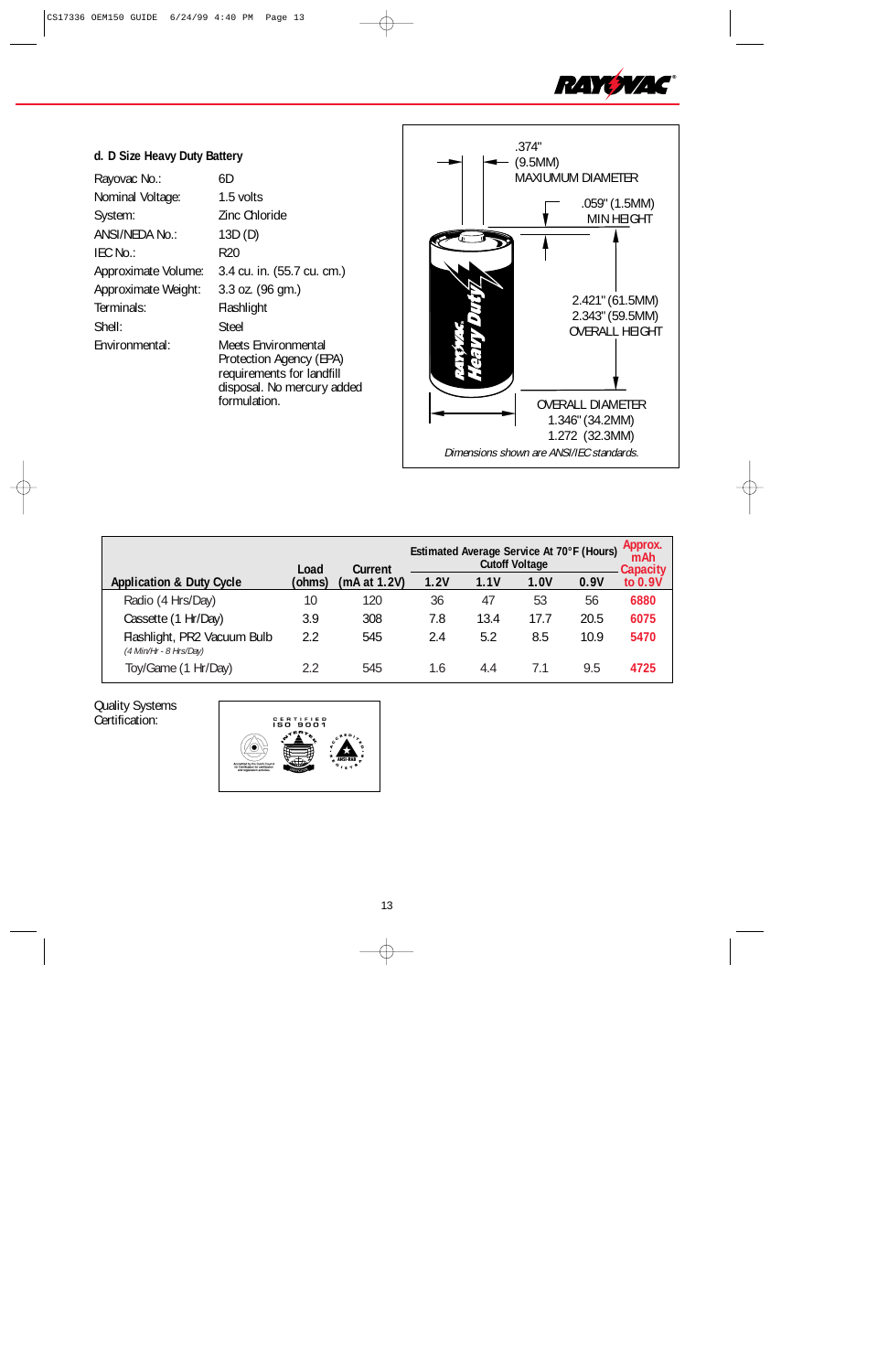

## **d. D Size Heavy Duty Battery**

| Rayovac No.:        | 6D                                                                                                                        |
|---------------------|---------------------------------------------------------------------------------------------------------------------------|
| Nominal Voltage:    | 1.5 volts                                                                                                                 |
| System:             | Zinc Chloride                                                                                                             |
| ANSI/NEDA No.:      | 13D(D)                                                                                                                    |
| IEC No.:            | R20                                                                                                                       |
| Approximate Volume: | 3.4 cu. in. (55.7 cu. cm.)                                                                                                |
| Approximate Weight: | 3.3 oz. (96 gm.)                                                                                                          |
| Terminals:          | Flashlight                                                                                                                |
| Shell:              | Steel                                                                                                                     |
| Environmental:      | Meets Environmental<br>Protection Agency (EPA)<br>requirements for landfill<br>disposal. No mercury added<br>formulation. |



|                                                         | Load   | Estimated Average Service At 70°F (Hours)<br><b>Cutoff Voltage</b><br>Current |      |      |      |      | Approx.<br>mAh<br><b>Capacity</b> |
|---------------------------------------------------------|--------|-------------------------------------------------------------------------------|------|------|------|------|-----------------------------------|
| <b>Application &amp; Duty Cycle</b>                     | (ohms) | (mA at 1.2V)                                                                  | 1.2V | 1.1V | 1.0V | 0.9V | to 0.9V                           |
| Radio (4 Hrs/Day)                                       | 10     | 120                                                                           | 36   | 47   | 53   | 56   | 6880                              |
| Cassette (1 Hr/Day)                                     | 3.9    | 308                                                                           | 7.8  | 13.4 | 17.7 | 20.5 | 6075                              |
| Flashlight, PR2 Vacuum Bulb<br>$(4$ Min/Hr - 8 Hrs/Day) | 2.2    | 545                                                                           | 2.4  | 5.2  | 8.5  | 10.9 | 5470                              |
| Toy/Game (1 Hr/Day)                                     | 2.2    | 545                                                                           | 1.6  | 4.4  |      | 9.5  | 4725                              |

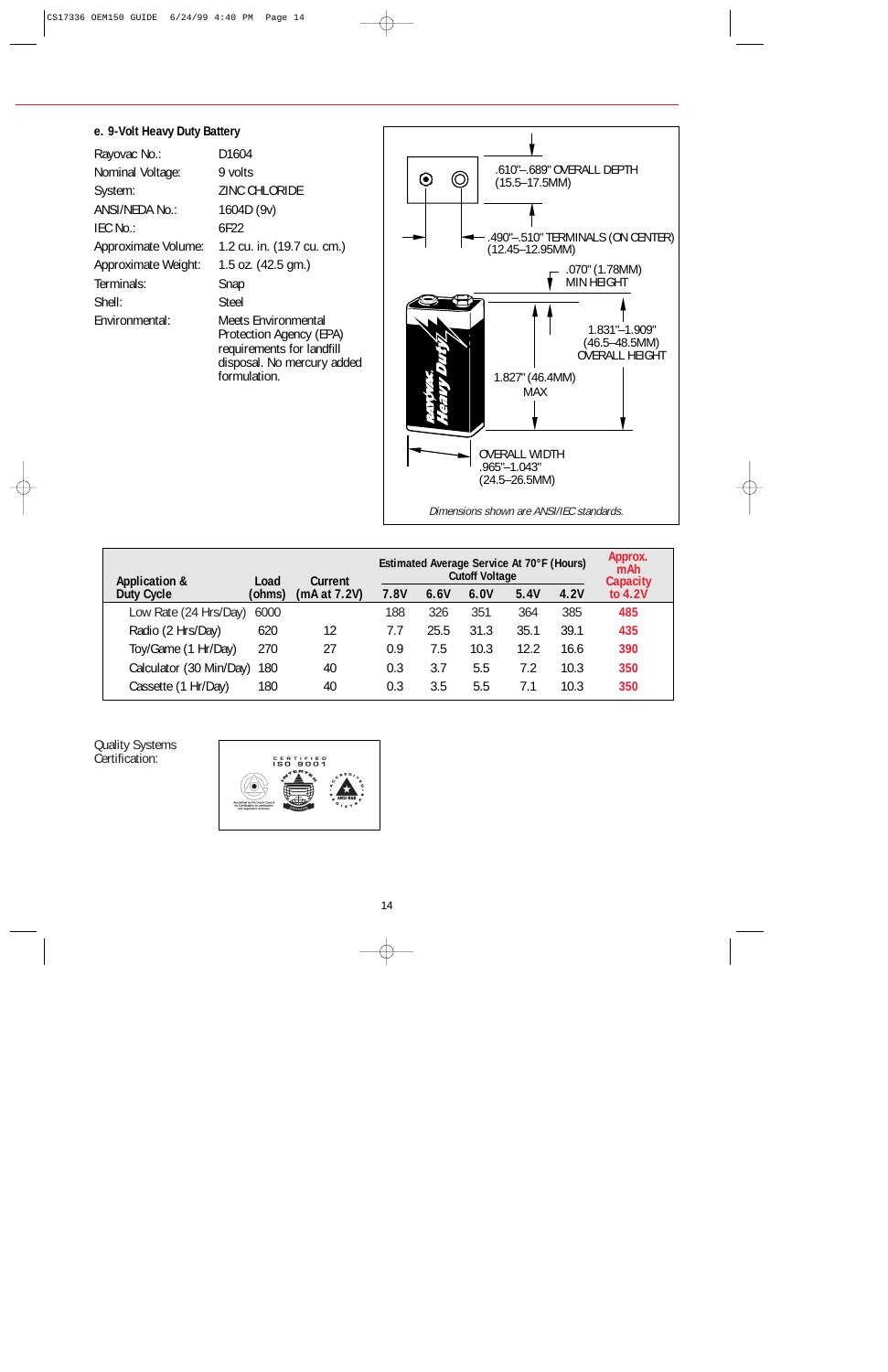### **e. 9-Volt Heavy Duty Battery**

| Rayovac No.:        | D1604                                                                                                                     |
|---------------------|---------------------------------------------------------------------------------------------------------------------------|
| Nominal Voltage:    | 9 volts                                                                                                                   |
| System:             | <b>ZINC CHLORIDE</b>                                                                                                      |
| ANSI/NEDA No.:      | 1604D (9v)                                                                                                                |
| IEC No.:            | 6F22                                                                                                                      |
| Approximate Volume: | 1.2 cu. in. (19.7 cu. cm.)                                                                                                |
| Approximate Weight: | 1.5 oz. (42.5 gm.)                                                                                                        |
| Terminals:          | Snap                                                                                                                      |
| Shell:              | <b>Steel</b>                                                                                                              |
| Environmental:      | Meets Environmental<br>Protection Agency (EPA)<br>requirements for landfill<br>disposal. No mercury added<br>formulation. |



| <b>Application &amp;</b> | Load   | Current      |      | Estimated Average Service At 70°F (Hours)<br><b>Cutoff Voltage</b> |      |      |      |                              |  |
|--------------------------|--------|--------------|------|--------------------------------------------------------------------|------|------|------|------------------------------|--|
| Duty Cycle               | (ohms) | (mA at 7.2V) | 7.8V | 6.6V                                                               | 6.0V | 5.4V | 4.2V | <b>Capacity</b><br>to $4.2V$ |  |
| Low Rate (24 Hrs/Day)    | 6000   |              | 188  | 326                                                                | 351  | 364  | 385  | 485                          |  |
| Radio (2 Hrs/Day)        | 620    | 12           | 7.7  | 25.5                                                               | 31.3 | 35.1 | 39.1 | 435                          |  |
| Toy/Game (1 Hr/Day)      | 270    | 27           | 0.9  | 7.5                                                                | 10.3 | 12.2 | 16.6 | 390                          |  |
| Calculator (30 Min/Day)  | 180    | 40           | 0.3  | 3.7                                                                | 5.5  | 7.2  | 10.3 | 350                          |  |
| Cassette (1 Hr/Day)      | 180    | 40           | 0.3  | 3.5                                                                | 5.5  | 7.1  | 10.3 | 350                          |  |

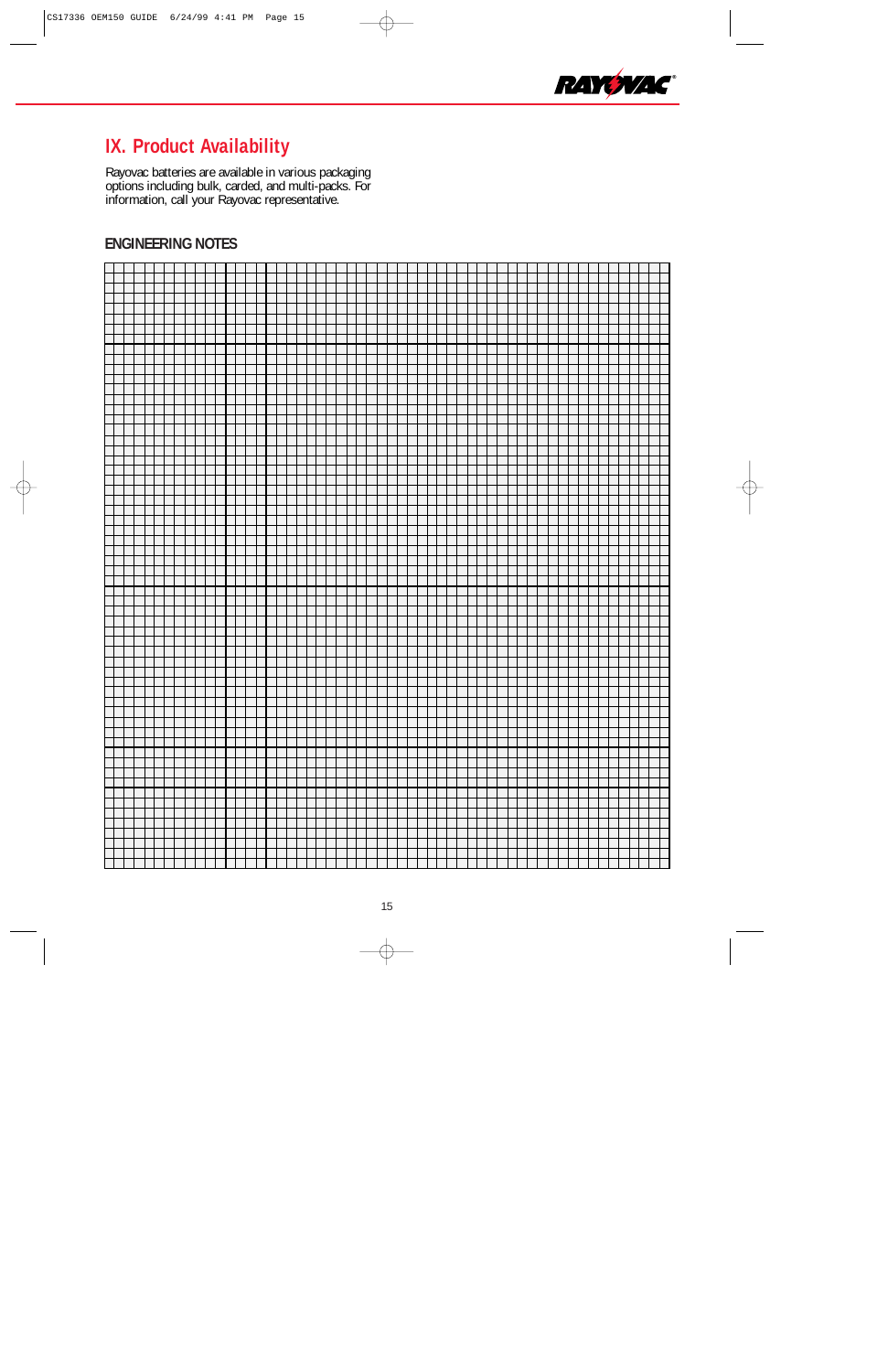

# **IX. Product Availability**

Rayovac batteries are available in various packaging options including bulk, carded, and multi-packs. For information, call your Rayovac representative.

## **ENGINEERING NOTES**